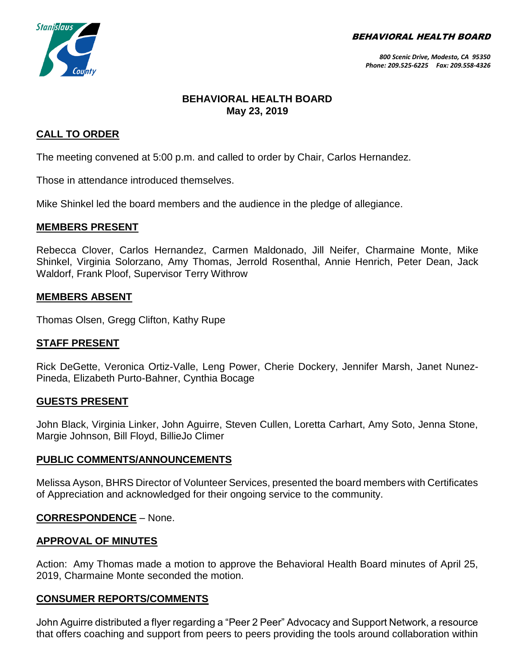BEHAVIORAL HEALTH BOARD



## **BEHAVIORAL HEALTH BOARD May 23, 2019**

### **CALL TO ORDER**

The meeting convened at 5:00 p.m. and called to order by Chair, Carlos Hernandez.

Those in attendance introduced themselves.

Mike Shinkel led the board members and the audience in the pledge of allegiance.

#### **MEMBERS PRESENT**

Rebecca Clover, Carlos Hernandez, Carmen Maldonado, Jill Neifer, Charmaine Monte, Mike Shinkel, Virginia Solorzano, Amy Thomas, Jerrold Rosenthal, Annie Henrich, Peter Dean, Jack Waldorf, Frank Ploof, Supervisor Terry Withrow

#### **MEMBERS ABSENT**

Thomas Olsen, Gregg Clifton, Kathy Rupe

#### **STAFF PRESENT**

Rick DeGette, Veronica Ortiz-Valle, Leng Power, Cherie Dockery, Jennifer Marsh, Janet Nunez-Pineda, Elizabeth Purto-Bahner, Cynthia Bocage

#### **GUESTS PRESENT**

John Black, Virginia Linker, John Aguirre, Steven Cullen, Loretta Carhart, Amy Soto, Jenna Stone, Margie Johnson, Bill Floyd, BillieJo Climer

#### **PUBLIC COMMENTS/ANNOUNCEMENTS**

Melissa Ayson, BHRS Director of Volunteer Services, presented the board members with Certificates of Appreciation and acknowledged for their ongoing service to the community.

#### **CORRESPONDENCE** – None.

#### **APPROVAL OF MINUTES**

Action: Amy Thomas made a motion to approve the Behavioral Health Board minutes of April 25, 2019, Charmaine Monte seconded the motion.

#### **CONSUMER REPORTS/COMMENTS**

John Aguirre distributed a flyer regarding a "Peer 2 Peer" Advocacy and Support Network, a resource that offers coaching and support from peers to peers providing the tools around collaboration within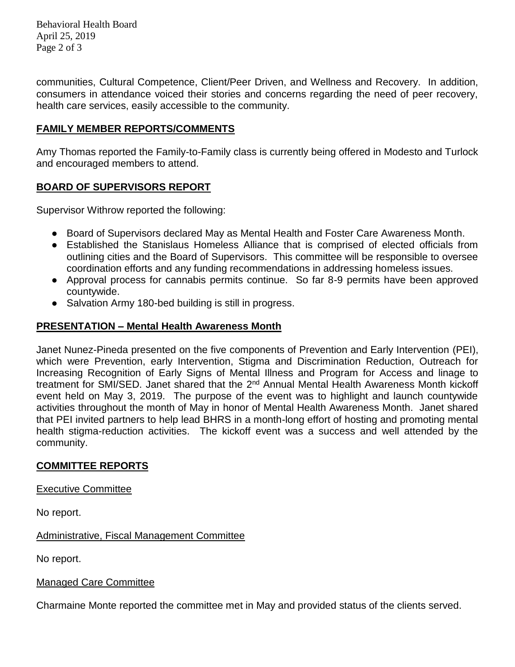Behavioral Health Board April 25, 2019 Page 2 of 3

communities, Cultural Competence, Client/Peer Driven, and Wellness and Recovery. In addition, consumers in attendance voiced their stories and concerns regarding the need of peer recovery, health care services, easily accessible to the community.

#### **FAMILY MEMBER REPORTS/COMMENTS**

Amy Thomas reported the Family-to-Family class is currently being offered in Modesto and Turlock and encouraged members to attend.

### **BOARD OF SUPERVISORS REPORT**

Supervisor Withrow reported the following:

- Board of Supervisors declared May as Mental Health and Foster Care Awareness Month.
- Established the Stanislaus Homeless Alliance that is comprised of elected officials from outlining cities and the Board of Supervisors. This committee will be responsible to oversee coordination efforts and any funding recommendations in addressing homeless issues.
- Approval process for cannabis permits continue. So far 8-9 permits have been approved countywide.
- Salvation Army 180-bed building is still in progress.

#### **PRESENTATION – Mental Health Awareness Month**

Janet Nunez-Pineda presented on the five components of Prevention and Early Intervention (PEI), which were Prevention, early Intervention, Stigma and Discrimination Reduction, Outreach for Increasing Recognition of Early Signs of Mental Illness and Program for Access and linage to treatment for SMI/SED. Janet shared that the 2<sup>nd</sup> Annual Mental Health Awareness Month kickoff event held on May 3, 2019. The purpose of the event was to highlight and launch countywide activities throughout the month of May in honor of Mental Health Awareness Month. Janet shared that PEI invited partners to help lead BHRS in a month-long effort of hosting and promoting mental health stigma-reduction activities. The kickoff event was a success and well attended by the community.

### **COMMITTEE REPORTS**

#### Executive Committee

No report.

Administrative, Fiscal Management Committee

No report.

#### Managed Care Committee

Charmaine Monte reported the committee met in May and provided status of the clients served.